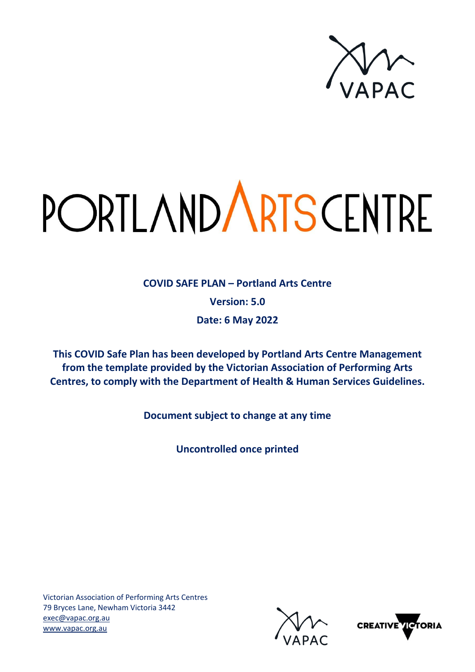

# PORTLAND ARTS CENTRE

**COVID SAFE PLAN – Portland Arts Centre Version: 5.0 Date: 6 May 2022**

**This COVID Safe Plan has been developed by Portland Arts Centre Management from the template provided by the Victorian Association of Performing Arts Centres, to comply with the Department of Health & Human Services Guidelines.**

**Document subject to change at any time**

**Uncontrolled once printed**



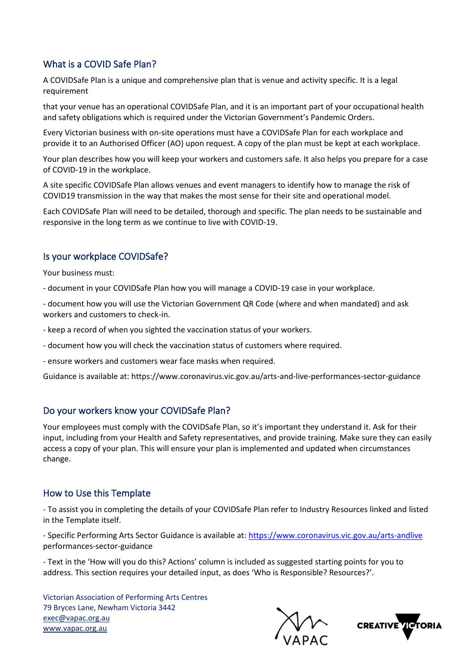## What is a COVID Safe Plan?

A COVIDSafe Plan is a unique and comprehensive plan that is venue and activity specific. It is a legal requirement

that your venue has an operational COVIDSafe Plan, and it is an important part of your occupational health and safety obligations which is required under the Victorian Government's Pandemic Orders.

Every Victorian business with on-site operations must have a COVIDSafe Plan for each workplace and provide it to an Authorised Officer (AO) upon request. A copy of the plan must be kept at each workplace.

Your plan describes how you will keep your workers and customers safe. It also helps you prepare for a case of COVID-19 in the workplace.

A site specific COVIDSafe Plan allows venues and event managers to identify how to manage the risk of COVID19 transmission in the way that makes the most sense for their site and operational model.

Each COVIDSafe Plan will need to be detailed, thorough and specific. The plan needs to be sustainable and responsive in the long term as we continue to live with COVID-19.

#### Is your workplace COVIDSafe?

Your business must:

- document in your COVIDSafe Plan how you will manage a COVID-19 case in your workplace.

- document how you will use the Victorian Government QR Code (where and when mandated) and ask workers and customers to check-in.

- keep a record of when you sighted the vaccination status of your workers.

- document how you will check the vaccination status of customers where required.

- ensure workers and customers wear face masks when required.

Guidance is available at: https://www.coronavirus.vic.gov.au/arts-and-live-performances-sector-guidance

#### Do your workers know your COVIDSafe Plan?

Your employees must comply with the COVIDSafe Plan, so it's important they understand it. Ask for their input, including from your Health and Safety representatives, and provide training. Make sure they can easily access a copy of your plan. This will ensure your plan is implemented and updated when circumstances change.

#### How to Use this Template

- To assist you in completing the details of your COVIDSafe Plan refer to Industry Resources linked and listed in the Template itself.

- Specific Performing Arts Sector Guidance is available at:<https://www.coronavirus.vic.gov.au/arts-andlive> performances-sector-guidance

- Text in the 'How will you do this? Actions' column is included as suggested starting points for you to address. This section requires your detailed input, as does 'Who is Responsible? Resources?'.



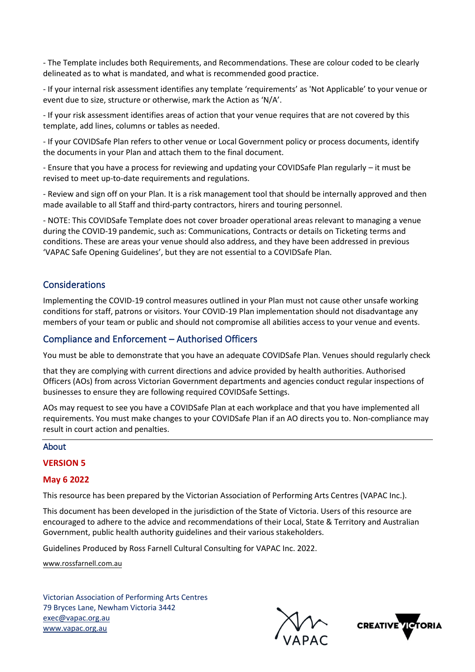- The Template includes both Requirements, and Recommendations. These are colour coded to be clearly delineated as to what is mandated, and what is recommended good practice.

- If your internal risk assessment identifies any template 'requirements' as 'Not Applicable' to your venue or event due to size, structure or otherwise, mark the Action as 'N/A'.

- If your risk assessment identifies areas of action that your venue requires that are not covered by this template, add lines, columns or tables as needed.

- If your COVIDSafe Plan refers to other venue or Local Government policy or process documents, identify the documents in your Plan and attach them to the final document.

- Ensure that you have a process for reviewing and updating your COVIDSafe Plan regularly – it must be revised to meet up-to-date requirements and regulations.

- Review and sign off on your Plan. It is a risk management tool that should be internally approved and then made available to all Staff and third-party contractors, hirers and touring personnel.

- NOTE: This COVIDSafe Template does not cover broader operational areas relevant to managing a venue during the COVID-19 pandemic, such as: Communications, Contracts or details on Ticketing terms and conditions. These are areas your venue should also address, and they have been addressed in previous 'VAPAC Safe Opening Guidelines', but they are not essential to a COVIDSafe Plan.

## Considerations

Implementing the COVID-19 control measures outlined in your Plan must not cause other unsafe working conditions for staff, patrons or visitors. Your COVID-19 Plan implementation should not disadvantage any members of your team or public and should not compromise all abilities access to your venue and events.

#### Compliance and Enforcement – Authorised Officers

You must be able to demonstrate that you have an adequate COVIDSafe Plan. Venues should regularly check

that they are complying with current directions and advice provided by health authorities. Authorised Officers (AOs) from across Victorian Government departments and agencies conduct regular inspections of businesses to ensure they are following required COVIDSafe Settings.

AOs may request to see you have a COVIDSafe Plan at each workplace and that you have implemented all requirements. You must make changes to your COVIDSafe Plan if an AO directs you to. Non-compliance may result in court action and penalties.

#### About

#### **VERSION 5**

#### **May 6 2022**

This resource has been prepared by the Victorian Association of Performing Arts Centres (VAPAC Inc.).

This document has been developed in the jurisdiction of the State of Victoria. Users of this resource are encouraged to adhere to the advice and recommendations of their Local, State & Territory and Australian Government, public health authority guidelines and their various stakeholders.

Guidelines Produced by Ross Farnell Cultural Consulting for VAPAC Inc. 2022.

www.rossfarnell.com.au

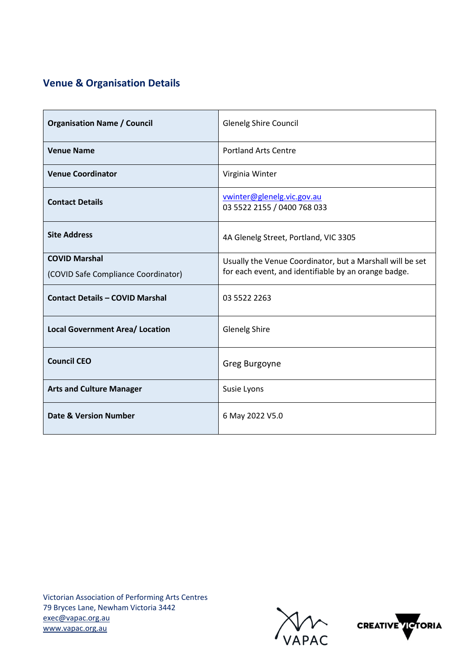# **Venue & Organisation Details**

| <b>Organisation Name / Council</b>                          | Glenelg Shire Council                                                                                             |
|-------------------------------------------------------------|-------------------------------------------------------------------------------------------------------------------|
| <b>Venue Name</b>                                           | <b>Portland Arts Centre</b>                                                                                       |
| <b>Venue Coordinator</b>                                    | Virginia Winter                                                                                                   |
| <b>Contact Details</b>                                      | vwinter@glenelg.vic.gov.au<br>03 5522 2155 / 0400 768 033                                                         |
| <b>Site Address</b>                                         | 4A Glenelg Street, Portland, VIC 3305                                                                             |
| <b>COVID Marshal</b><br>(COVID Safe Compliance Coordinator) | Usually the Venue Coordinator, but a Marshall will be set<br>for each event, and identifiable by an orange badge. |
| <b>Contact Details - COVID Marshal</b>                      | 03 5522 2263                                                                                                      |
| <b>Local Government Area/ Location</b>                      | <b>Glenelg Shire</b>                                                                                              |
| <b>Council CEO</b>                                          | Greg Burgoyne                                                                                                     |
| <b>Arts and Culture Manager</b>                             | Susie Lyons                                                                                                       |
| <b>Date &amp; Version Number</b>                            | 6 May 2022 V5.0                                                                                                   |



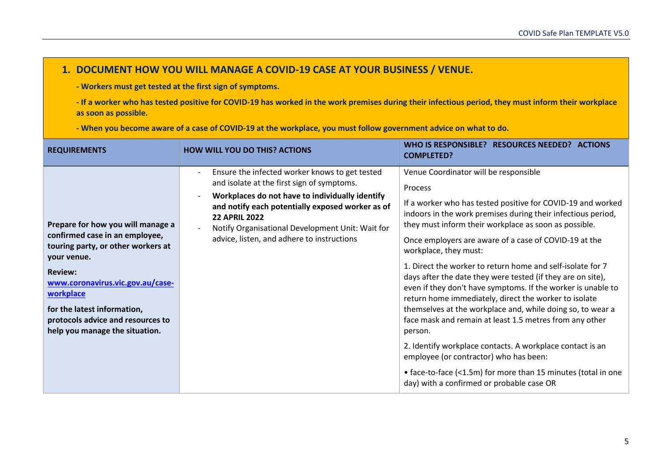## **1. DOCUMENT HOW YOU WILL MANAGE A COVID-19 CASE AT YOUR BUSINESS / VENUE.**

**- Workers must get tested at the first sign of symptoms.**

**- If a worker who has tested positive for COVID-19 has worked in the work premises during their infectious period, they must inform their workplace as soon as possible.**

**- When you become aware of a case of COVID-19 at the workplace, you must follow government advice on what to do.**

| <b>REQUIREMENTS</b>                                                                                                                                                                                                                                                                               | <b>HOW WILL YOU DO THIS? ACTIONS</b>                                                                                                                                                                                                                                                                                          | WHO IS RESPONSIBLE? RESOURCES NEEDED? ACTIONS<br><b>COMPLETED?</b>                                                                                                                                                                                                                                                                                                                                                                                                                                                                                                                                                                                                                                                                                                                                                                                                                                                                               |
|---------------------------------------------------------------------------------------------------------------------------------------------------------------------------------------------------------------------------------------------------------------------------------------------------|-------------------------------------------------------------------------------------------------------------------------------------------------------------------------------------------------------------------------------------------------------------------------------------------------------------------------------|--------------------------------------------------------------------------------------------------------------------------------------------------------------------------------------------------------------------------------------------------------------------------------------------------------------------------------------------------------------------------------------------------------------------------------------------------------------------------------------------------------------------------------------------------------------------------------------------------------------------------------------------------------------------------------------------------------------------------------------------------------------------------------------------------------------------------------------------------------------------------------------------------------------------------------------------------|
| Prepare for how you will manage a<br>confirmed case in an employee,<br>touring party, or other workers at<br>your venue.<br><b>Review:</b><br>www.coronavirus.vic.gov.au/case-<br>workplace<br>for the latest information,<br>protocols advice and resources to<br>help you manage the situation. | Ensure the infected worker knows to get tested<br>and isolate at the first sign of symptoms.<br>Workplaces do not have to individually identify<br>and notify each potentially exposed worker as of<br><b>22 APRIL 2022</b><br>Notify Organisational Development Unit: Wait for<br>advice, listen, and adhere to instructions | Venue Coordinator will be responsible<br><b>Process</b><br>If a worker who has tested positive for COVID-19 and worked<br>indoors in the work premises during their infectious period,<br>they must inform their workplace as soon as possible.<br>Once employers are aware of a case of COVID-19 at the<br>workplace, they must:<br>1. Direct the worker to return home and self-isolate for 7<br>days after the date they were tested (if they are on site),<br>even if they don't have symptoms. If the worker is unable to<br>return home immediately, direct the worker to isolate<br>themselves at the workplace and, while doing so, to wear a<br>face mask and remain at least 1.5 metres from any other<br>person.<br>2. Identify workplace contacts. A workplace contact is an<br>employee (or contractor) who has been:<br>• face-to-face (<1.5m) for more than 15 minutes (total in one<br>day) with a confirmed or probable case OR |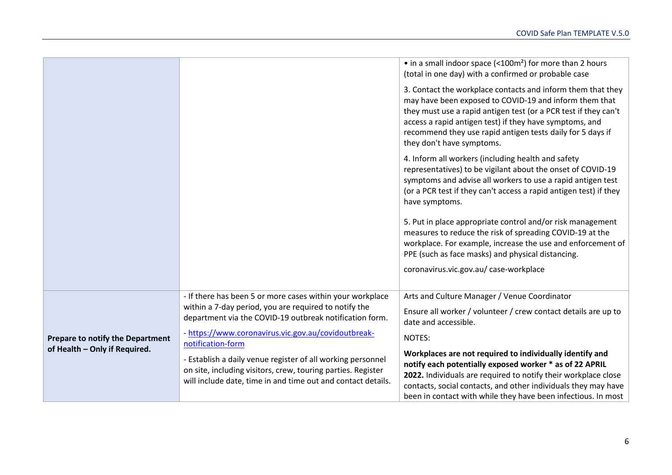|                                                                   |                                                                                                                                                                                             | • in a small indoor space $\left($ < 100m <sup>2</sup> $\right)$ for more than 2 hours<br>(total in one day) with a confirmed or probable case                                                                                                                                                                                                 |
|-------------------------------------------------------------------|---------------------------------------------------------------------------------------------------------------------------------------------------------------------------------------------|------------------------------------------------------------------------------------------------------------------------------------------------------------------------------------------------------------------------------------------------------------------------------------------------------------------------------------------------|
|                                                                   |                                                                                                                                                                                             | 3. Contact the workplace contacts and inform them that they<br>may have been exposed to COVID-19 and inform them that<br>they must use a rapid antigen test (or a PCR test if they can't<br>access a rapid antigen test) if they have symptoms, and<br>recommend they use rapid antigen tests daily for 5 days if<br>they don't have symptoms. |
|                                                                   |                                                                                                                                                                                             | 4. Inform all workers (including health and safety<br>representatives) to be vigilant about the onset of COVID-19<br>symptoms and advise all workers to use a rapid antigen test<br>(or a PCR test if they can't access a rapid antigen test) if they<br>have symptoms.                                                                        |
|                                                                   |                                                                                                                                                                                             | 5. Put in place appropriate control and/or risk management<br>measures to reduce the risk of spreading COVID-19 at the<br>workplace. For example, increase the use and enforcement of<br>PPE (such as face masks) and physical distancing.                                                                                                     |
|                                                                   |                                                                                                                                                                                             | coronavirus.vic.gov.au/ case-workplace                                                                                                                                                                                                                                                                                                         |
|                                                                   | - If there has been 5 or more cases within your workplace<br>within a 7-day period, you are required to notify the<br>department via the COVID-19 outbreak notification form.               | Arts and Culture Manager / Venue Coordinator<br>Ensure all worker / volunteer / crew contact details are up to<br>date and accessible.                                                                                                                                                                                                         |
| Prepare to notify the Department<br>of Health - Only if Required. | - https://www.coronavirus.vic.gov.au/covidoutbreak-<br>notification-form                                                                                                                    | NOTES:                                                                                                                                                                                                                                                                                                                                         |
|                                                                   | - Establish a daily venue register of all working personnel<br>on site, including visitors, crew, touring parties. Register<br>will include date, time in and time out and contact details. | Workplaces are not required to individually identify and<br>notify each potentially exposed worker * as of 22 APRIL<br>2022. Individuals are required to notify their workplace close<br>contacts, social contacts, and other individuals they may have<br>been in contact with while they have been infectious. In most                       |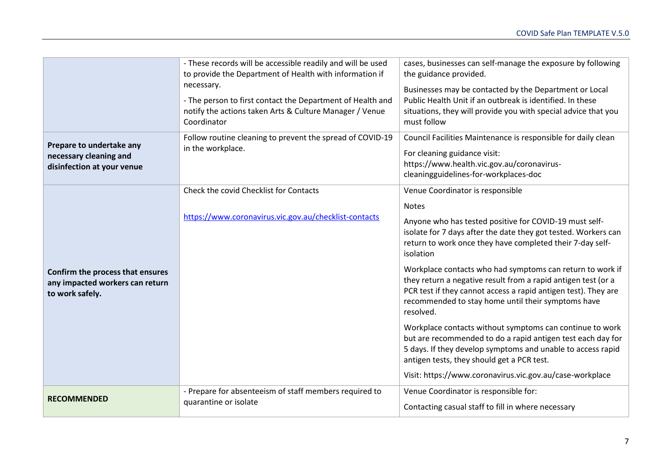|                                                                                        | - These records will be accessible readily and will be used<br>to provide the Department of Health with information if<br>necessary.<br>- The person to first contact the Department of Health and<br>notify the actions taken Arts & Culture Manager / Venue<br>Coordinator | cases, businesses can self-manage the exposure by following<br>the guidance provided.<br>Businesses may be contacted by the Department or Local<br>Public Health Unit if an outbreak is identified. In these<br>situations, they will provide you with special advice that you<br>must follow |
|----------------------------------------------------------------------------------------|------------------------------------------------------------------------------------------------------------------------------------------------------------------------------------------------------------------------------------------------------------------------------|-----------------------------------------------------------------------------------------------------------------------------------------------------------------------------------------------------------------------------------------------------------------------------------------------|
| Prepare to undertake any<br>necessary cleaning and<br>disinfection at your venue       | Follow routine cleaning to prevent the spread of COVID-19<br>in the workplace.                                                                                                                                                                                               | Council Facilities Maintenance is responsible for daily clean<br>For cleaning guidance visit:<br>https://www.health.vic.gov.au/coronavirus-<br>cleaningguidelines-for-workplaces-doc                                                                                                          |
|                                                                                        | Check the covid Checklist for Contacts                                                                                                                                                                                                                                       | Venue Coordinator is responsible                                                                                                                                                                                                                                                              |
|                                                                                        | https://www.coronavirus.vic.gov.au/checklist-contacts                                                                                                                                                                                                                        | <b>Notes</b><br>Anyone who has tested positive for COVID-19 must self-<br>isolate for 7 days after the date they got tested. Workers can<br>return to work once they have completed their 7-day self-<br>isolation                                                                            |
| Confirm the process that ensures<br>any impacted workers can return<br>to work safely. |                                                                                                                                                                                                                                                                              | Workplace contacts who had symptoms can return to work if<br>they return a negative result from a rapid antigen test (or a<br>PCR test if they cannot access a rapid antigen test). They are<br>recommended to stay home until their symptoms have<br>resolved.                               |
|                                                                                        |                                                                                                                                                                                                                                                                              | Workplace contacts without symptoms can continue to work<br>but are recommended to do a rapid antigen test each day for<br>5 days. If they develop symptoms and unable to access rapid<br>antigen tests, they should get a PCR test.                                                          |
|                                                                                        |                                                                                                                                                                                                                                                                              | Visit: https://www.coronavirus.vic.gov.au/case-workplace                                                                                                                                                                                                                                      |
| <b>RECOMMENDED</b>                                                                     | - Prepare for absenteeism of staff members required to<br>quarantine or isolate                                                                                                                                                                                              | Venue Coordinator is responsible for:                                                                                                                                                                                                                                                         |
|                                                                                        |                                                                                                                                                                                                                                                                              | Contacting casual staff to fill in where necessary                                                                                                                                                                                                                                            |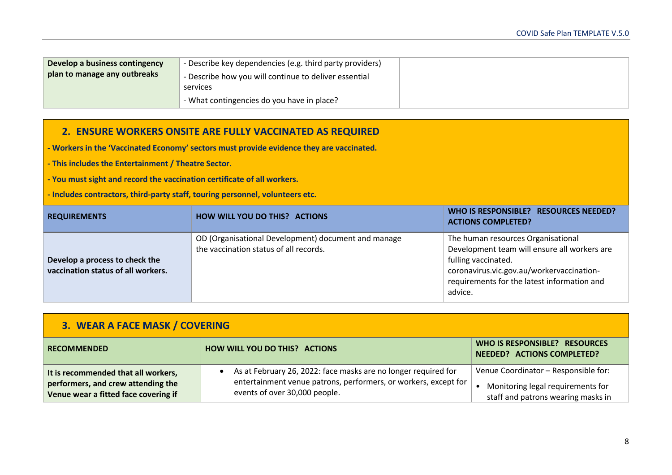| Develop a business contingency | - Describe key dependencies (e.g. third party providers) |
|--------------------------------|----------------------------------------------------------|
| plan to manage any outbreaks   | - Describe how you will continue to deliver essential    |
|                                | services                                                 |
|                                | - What contingencies do you have in place?               |

#### **2. ENSURE WORKERS ONSITE ARE FULLY VACCINATED AS REQUIRED**

**- Workers in the 'Vaccinated Economy' sectors must provide evidence they are vaccinated.**

**- This includes the Entertainment / Theatre Sector.**

**- You must sight and record the vaccination certificate of all workers.**

**- Includes contractors, third-party staff, touring personnel, volunteers etc.**

| <b>REQUIREMENTS</b>                                                  | <b>HOW WILL YOU DO THIS? ACTIONS</b>                                                          | WHO IS RESPONSIBLE? RESOURCES NEEDED?<br><b>ACTIONS COMPLETED?</b>                                                                                                                                               |
|----------------------------------------------------------------------|-----------------------------------------------------------------------------------------------|------------------------------------------------------------------------------------------------------------------------------------------------------------------------------------------------------------------|
| Develop a process to check the<br>vaccination status of all workers. | OD (Organisational Development) document and manage<br>the vaccination status of all records. | The human resources Organisational<br>Development team will ensure all workers are<br>fulling vaccinated.<br>coronavirus.vic.gov.au/workervaccination-<br>requirements for the latest information and<br>advice. |

| 3. WEAR A FACE MASK / COVERING                                                                                    |                                                                                                                                                                    |                                                                                                                 |
|-------------------------------------------------------------------------------------------------------------------|--------------------------------------------------------------------------------------------------------------------------------------------------------------------|-----------------------------------------------------------------------------------------------------------------|
| <b>RECOMMENDED</b>                                                                                                | <b>HOW WILL YOU DO THIS? ACTIONS</b>                                                                                                                               | WHO IS RESPONSIBLE? RESOURCES<br>NEEDED? ACTIONS COMPLETED?                                                     |
| It is recommended that all workers,<br>performers, and crew attending the<br>Venue wear a fitted face covering if | As at February 26, 2022: face masks are no longer required for<br>entertainment venue patrons, performers, or workers, except for<br>events of over 30,000 people. | Venue Coordinator - Responsible for:<br>Monitoring legal requirements for<br>staff and patrons wearing masks in |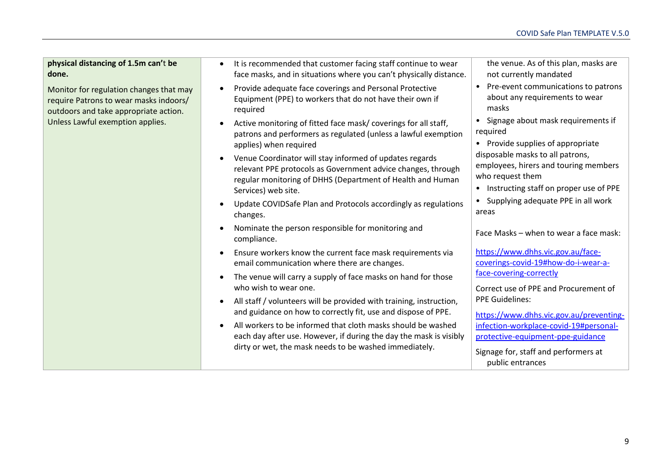**physical distancing of 1.5m can'**t **be done.** 

Monitor for regulation changes that may require Patrons to wear masks indoors/ outdoors and take appropriate action. Unless Lawful exemption applies.

- It is recommended that customer facing staff continue to wear face masks, and in situations where you can't physically distance.
- Provide adequate face coverings and Personal Protective Equipment (PPE) to workers that do not have their own if required
- Active monitoring of fitted face mask/ coverings for all staff, patrons and performers as regulated (unless a lawful exemption applies) when required
- Venue Coordinator will stay informed of updates regards relevant PPE protocols as Government advice changes, through regular monitoring of DHHS (Department of Health and Human Services) web site.
- Update COVIDSafe Plan and Protocols accordingly as regulations changes.
- Nominate the person responsible for monitoring and compliance.
- Ensure workers know the current face mask requirements via email communication where there are changes.
- The venue will carry a supply of face masks on hand for those who wish to wear one.
- All staff / volunteers will be provided with training, instruction, and guidance on how to correctly fit, use and dispose of PPE.
- All workers to be informed that cloth masks should be washed each day after use. However, if during the day the mask is visibly dirty or wet, the mask needs to be washed immediately.

the venue. As of this plan, masks are not currently mandated

- Pre-event communications to patrons about any requirements to wear masks
- Signage about mask requirements if required
- Provide supplies of appropriate disposable masks to all patrons, employees, hirers and touring members who request them
- Instructing staff on proper use of PPE
- Supplying adequate PPE in all work areas

Face Masks – when to wear a face mask:

[https://www.dhhs.vic.gov.au/face](https://www.dhhs.vic.gov.au/face-coverings-covid-19#how-do-i-wear-a-face-covering-correctly)[coverings-covid-19#how-do-i-wear-a](https://www.dhhs.vic.gov.au/face-coverings-covid-19#how-do-i-wear-a-face-covering-correctly)[face-covering-correctly](https://www.dhhs.vic.gov.au/face-coverings-covid-19#how-do-i-wear-a-face-covering-correctly)

Correct use of PPE and Procurement of PPE Guidelines:

[https://www.dhhs.vic.gov.au/preventing](https://www.dhhs.vic.gov.au/preventing-infection-workplace-covid-19#personal-protective-equipment-ppe-guidance)[infection-workplace-covid-19#personal](https://www.dhhs.vic.gov.au/preventing-infection-workplace-covid-19#personal-protective-equipment-ppe-guidance)[protective-equipment-ppe-guidance](https://www.dhhs.vic.gov.au/preventing-infection-workplace-covid-19#personal-protective-equipment-ppe-guidance)

Signage for, staff and performers at public entrances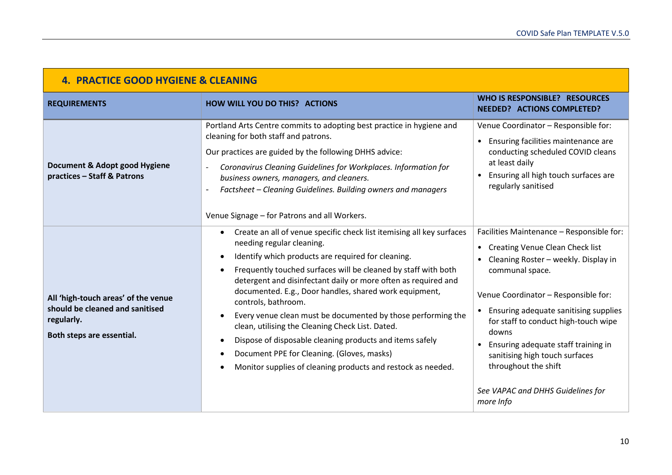| <b>4. PRACTICE GOOD HYGIENE &amp; CLEANING</b>                                                                    |                                                                                                                                                                                                                                                                                                                                                                                                                                                                                                                                                                                                                                                                                          |                                                                                                                                                                                                                                                                                                                                                                                                                                                  |
|-------------------------------------------------------------------------------------------------------------------|------------------------------------------------------------------------------------------------------------------------------------------------------------------------------------------------------------------------------------------------------------------------------------------------------------------------------------------------------------------------------------------------------------------------------------------------------------------------------------------------------------------------------------------------------------------------------------------------------------------------------------------------------------------------------------------|--------------------------------------------------------------------------------------------------------------------------------------------------------------------------------------------------------------------------------------------------------------------------------------------------------------------------------------------------------------------------------------------------------------------------------------------------|
| <b>REQUIREMENTS</b>                                                                                               | <b>HOW WILL YOU DO THIS? ACTIONS</b>                                                                                                                                                                                                                                                                                                                                                                                                                                                                                                                                                                                                                                                     | WHO IS RESPONSIBLE? RESOURCES<br><b>NEEDED? ACTIONS COMPLETED?</b>                                                                                                                                                                                                                                                                                                                                                                               |
| Document & Adopt good Hygiene<br>practices - Staff & Patrons                                                      | Portland Arts Centre commits to adopting best practice in hygiene and<br>cleaning for both staff and patrons.<br>Our practices are guided by the following DHHS advice:<br>Coronavirus Cleaning Guidelines for Workplaces. Information for<br>business owners, managers, and cleaners.<br>Factsheet - Cleaning Guidelines. Building owners and managers<br>Venue Signage - for Patrons and all Workers.                                                                                                                                                                                                                                                                                  | Venue Coordinator - Responsible for:<br>Ensuring facilities maintenance are<br>$\bullet$<br>conducting scheduled COVID cleans<br>at least daily<br>Ensuring all high touch surfaces are<br>regularly sanitised                                                                                                                                                                                                                                   |
| All 'high-touch areas' of the venue<br>should be cleaned and sanitised<br>regularly.<br>Both steps are essential. | Create an all of venue specific check list itemising all key surfaces<br>needing regular cleaning.<br>Identify which products are required for cleaning.<br>$\bullet$<br>Frequently touched surfaces will be cleaned by staff with both<br>detergent and disinfectant daily or more often as required and<br>documented. E.g., Door handles, shared work equipment,<br>controls, bathroom.<br>Every venue clean must be documented by those performing the<br>clean, utilising the Cleaning Check List. Dated.<br>Dispose of disposable cleaning products and items safely<br>Document PPE for Cleaning. (Gloves, masks)<br>Monitor supplies of cleaning products and restock as needed. | Facilities Maintenance - Responsible for:<br><b>Creating Venue Clean Check list</b><br>$\bullet$<br>Cleaning Roster - weekly. Display in<br>communal space.<br>Venue Coordinator - Responsible for:<br>Ensuring adequate sanitising supplies<br>for staff to conduct high-touch wipe<br>downs<br>Ensuring adequate staff training in<br>sanitising high touch surfaces<br>throughout the shift<br>See VAPAC and DHHS Guidelines for<br>more Info |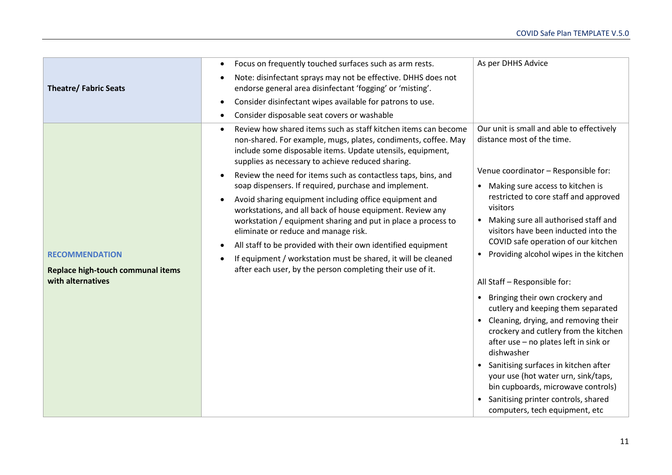|                                                                                 | Focus on frequently touched surfaces such as arm rests.<br>$\bullet$                                                                                                                                                                                                                                                                                                                                                                                                                                                                                                                                                                                                                                                                                                                                                                                | As per DHHS Advice                                                                                                                                                                                                                                                                                                                                                                                                                                                                                                                                                        |
|---------------------------------------------------------------------------------|-----------------------------------------------------------------------------------------------------------------------------------------------------------------------------------------------------------------------------------------------------------------------------------------------------------------------------------------------------------------------------------------------------------------------------------------------------------------------------------------------------------------------------------------------------------------------------------------------------------------------------------------------------------------------------------------------------------------------------------------------------------------------------------------------------------------------------------------------------|---------------------------------------------------------------------------------------------------------------------------------------------------------------------------------------------------------------------------------------------------------------------------------------------------------------------------------------------------------------------------------------------------------------------------------------------------------------------------------------------------------------------------------------------------------------------------|
| <b>Theatre/ Fabric Seats</b>                                                    | Note: disinfectant sprays may not be effective. DHHS does not<br>endorse general area disinfectant 'fogging' or 'misting'.                                                                                                                                                                                                                                                                                                                                                                                                                                                                                                                                                                                                                                                                                                                          |                                                                                                                                                                                                                                                                                                                                                                                                                                                                                                                                                                           |
|                                                                                 | Consider disinfectant wipes available for patrons to use.<br>$\bullet$                                                                                                                                                                                                                                                                                                                                                                                                                                                                                                                                                                                                                                                                                                                                                                              |                                                                                                                                                                                                                                                                                                                                                                                                                                                                                                                                                                           |
|                                                                                 | Consider disposable seat covers or washable                                                                                                                                                                                                                                                                                                                                                                                                                                                                                                                                                                                                                                                                                                                                                                                                         |                                                                                                                                                                                                                                                                                                                                                                                                                                                                                                                                                                           |
| <b>RECOMMENDATION</b><br>Replace high-touch communal items<br>with alternatives | Review how shared items such as staff kitchen items can become<br>$\bullet$<br>non-shared. For example, mugs, plates, condiments, coffee. May<br>include some disposable items. Update utensils, equipment,<br>supplies as necessary to achieve reduced sharing.<br>Review the need for items such as contactless taps, bins, and<br>$\bullet$<br>soap dispensers. If required, purchase and implement.<br>Avoid sharing equipment including office equipment and<br>$\bullet$<br>workstations, and all back of house equipment. Review any<br>workstation / equipment sharing and put in place a process to<br>eliminate or reduce and manage risk.<br>All staff to be provided with their own identified equipment<br>If equipment / workstation must be shared, it will be cleaned<br>after each user, by the person completing their use of it. | Our unit is small and able to effectively<br>distance most of the time.<br>Venue coordinator - Responsible for:<br>• Making sure access to kitchen is<br>restricted to core staff and approved<br>visitors<br>Making sure all authorised staff and<br>visitors have been inducted into the<br>COVID safe operation of our kitchen<br>Providing alcohol wipes in the kitchen<br>All Staff - Responsible for:<br>• Bringing their own crockery and<br>cutlery and keeping them separated<br>• Cleaning, drying, and removing their<br>crockery and cutlery from the kitchen |
|                                                                                 |                                                                                                                                                                                                                                                                                                                                                                                                                                                                                                                                                                                                                                                                                                                                                                                                                                                     | after use - no plates left in sink or<br>dishwasher                                                                                                                                                                                                                                                                                                                                                                                                                                                                                                                       |
|                                                                                 |                                                                                                                                                                                                                                                                                                                                                                                                                                                                                                                                                                                                                                                                                                                                                                                                                                                     | • Sanitising surfaces in kitchen after<br>your use (hot water urn, sink/taps,<br>bin cupboards, microwave controls)                                                                                                                                                                                                                                                                                                                                                                                                                                                       |
|                                                                                 |                                                                                                                                                                                                                                                                                                                                                                                                                                                                                                                                                                                                                                                                                                                                                                                                                                                     | Sanitising printer controls, shared<br>computers, tech equipment, etc                                                                                                                                                                                                                                                                                                                                                                                                                                                                                                     |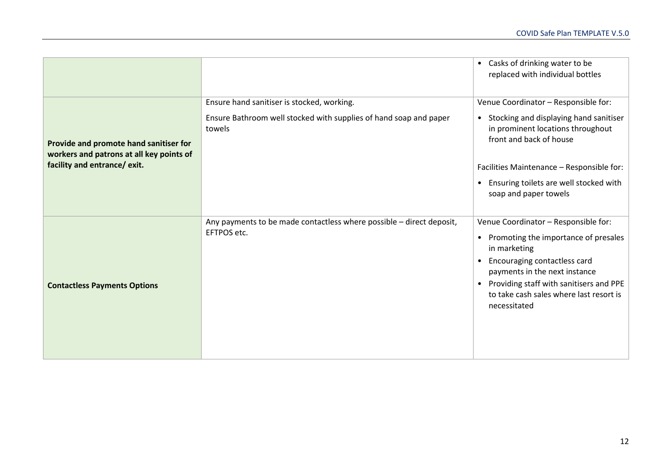|                                                                                                                    |                                                                                                                           | Casks of drinking water to be<br>$\bullet$<br>replaced with individual bottles                                                                                                                                                                                                                             |
|--------------------------------------------------------------------------------------------------------------------|---------------------------------------------------------------------------------------------------------------------------|------------------------------------------------------------------------------------------------------------------------------------------------------------------------------------------------------------------------------------------------------------------------------------------------------------|
| Provide and promote hand sanitiser for<br>workers and patrons at all key points of<br>facility and entrance/ exit. | Ensure hand sanitiser is stocked, working.<br>Ensure Bathroom well stocked with supplies of hand soap and paper<br>towels | Venue Coordinator - Responsible for:<br>• Stocking and displaying hand sanitiser<br>in prominent locations throughout<br>front and back of house<br>Facilities Maintenance - Responsible for:<br>Ensuring toilets are well stocked with<br>$\bullet$<br>soap and paper towels                              |
| <b>Contactless Payments Options</b>                                                                                | Any payments to be made contactless where possible - direct deposit,<br>EFTPOS etc.                                       | Venue Coordinator - Responsible for:<br>Promoting the importance of presales<br>$\bullet$<br>in marketing<br>Encouraging contactless card<br>$\bullet$<br>payments in the next instance<br>Providing staff with sanitisers and PPE<br>$\bullet$<br>to take cash sales where last resort is<br>necessitated |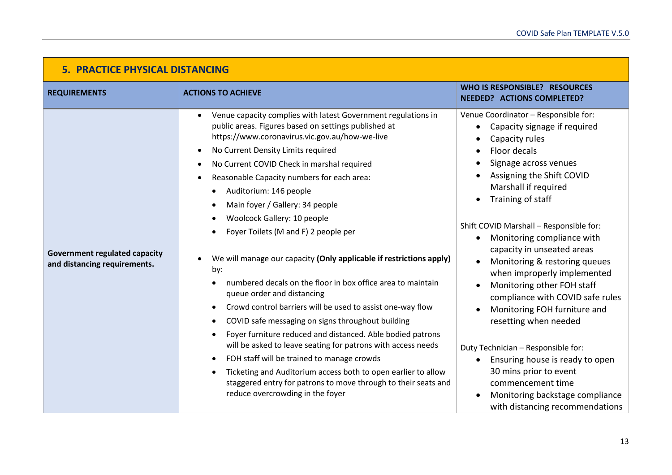| <b>5. PRACTICE PHYSICAL DISTANCING</b>                               |                                                                                                                                                                                                                                                                                                                                                                                                                                                                                                                                                                                                                                                                                                                                                                                                                                                                                                                                                                                                                                                                                                |                                                                                                                                                                                                                                                                                                                                                                                                                                                                                                                                                                                                                                                                                                                        |
|----------------------------------------------------------------------|------------------------------------------------------------------------------------------------------------------------------------------------------------------------------------------------------------------------------------------------------------------------------------------------------------------------------------------------------------------------------------------------------------------------------------------------------------------------------------------------------------------------------------------------------------------------------------------------------------------------------------------------------------------------------------------------------------------------------------------------------------------------------------------------------------------------------------------------------------------------------------------------------------------------------------------------------------------------------------------------------------------------------------------------------------------------------------------------|------------------------------------------------------------------------------------------------------------------------------------------------------------------------------------------------------------------------------------------------------------------------------------------------------------------------------------------------------------------------------------------------------------------------------------------------------------------------------------------------------------------------------------------------------------------------------------------------------------------------------------------------------------------------------------------------------------------------|
| <b>REQUIREMENTS</b>                                                  | <b>ACTIONS TO ACHIEVE</b>                                                                                                                                                                                                                                                                                                                                                                                                                                                                                                                                                                                                                                                                                                                                                                                                                                                                                                                                                                                                                                                                      | WHO IS RESPONSIBLE? RESOURCES<br><b>NEEDED? ACTIONS COMPLETED?</b>                                                                                                                                                                                                                                                                                                                                                                                                                                                                                                                                                                                                                                                     |
| <b>Government regulated capacity</b><br>and distancing requirements. | Venue capacity complies with latest Government regulations in<br>public areas. Figures based on settings published at<br>https://www.coronavirus.vic.gov.au/how-we-live<br>No Current Density Limits required<br>No Current COVID Check in marshal required<br>Reasonable Capacity numbers for each area:<br>Auditorium: 146 people<br>Main foyer / Gallery: 34 people<br>Woolcock Gallery: 10 people<br>Foyer Toilets (M and F) 2 people per<br>We will manage our capacity (Only applicable if restrictions apply)<br>by:<br>numbered decals on the floor in box office area to maintain<br>queue order and distancing<br>Crowd control barriers will be used to assist one-way flow<br>COVID safe messaging on signs throughout building<br>Foyer furniture reduced and distanced. Able bodied patrons<br>will be asked to leave seating for patrons with access needs<br>FOH staff will be trained to manage crowds<br>Ticketing and Auditorium access both to open earlier to allow<br>staggered entry for patrons to move through to their seats and<br>reduce overcrowding in the foyer | Venue Coordinator - Responsible for:<br>Capacity signage if required<br>Capacity rules<br>Floor decals<br>Signage across venues<br>Assigning the Shift COVID<br>Marshall if required<br>Training of staff<br>Shift COVID Marshall - Responsible for:<br>Monitoring compliance with<br>$\bullet$<br>capacity in unseated areas<br>Monitoring & restoring queues<br>when improperly implemented<br>Monitoring other FOH staff<br>compliance with COVID safe rules<br>Monitoring FOH furniture and<br>resetting when needed<br>Duty Technician - Responsible for:<br>Ensuring house is ready to open<br>30 mins prior to event<br>commencement time<br>Monitoring backstage compliance<br>with distancing recommendations |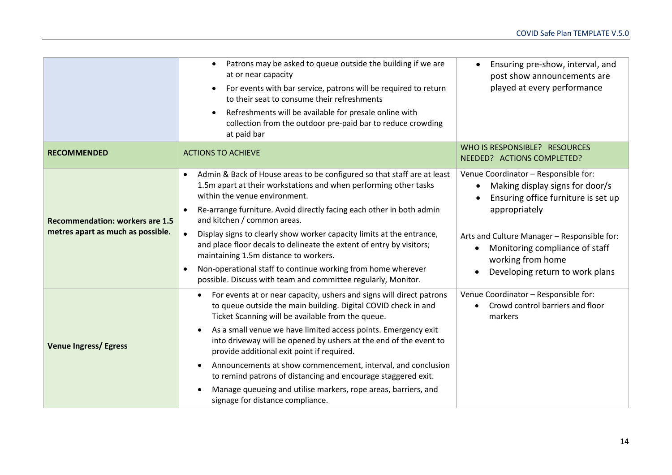|                                                                             | Patrons may be asked to queue outside the building if we are<br>$\bullet$<br>at or near capacity<br>For events with bar service, patrons will be required to return<br>to their seat to consume their refreshments<br>Refreshments will be available for presale online with<br>collection from the outdoor pre-paid bar to reduce crowding<br>at paid bar                                                                                                                                                                                                                                                                                            | Ensuring pre-show, interval, and<br>$\bullet$<br>post show announcements are<br>played at every performance                                                                                                                                                                                        |
|-----------------------------------------------------------------------------|-------------------------------------------------------------------------------------------------------------------------------------------------------------------------------------------------------------------------------------------------------------------------------------------------------------------------------------------------------------------------------------------------------------------------------------------------------------------------------------------------------------------------------------------------------------------------------------------------------------------------------------------------------|----------------------------------------------------------------------------------------------------------------------------------------------------------------------------------------------------------------------------------------------------------------------------------------------------|
| <b>RECOMMENDED</b>                                                          | <b>ACTIONS TO ACHIEVE</b>                                                                                                                                                                                                                                                                                                                                                                                                                                                                                                                                                                                                                             | WHO IS RESPONSIBLE? RESOURCES<br>NEEDED? ACTIONS COMPLETED?                                                                                                                                                                                                                                        |
| <b>Recommendation: workers are 1.5</b><br>metres apart as much as possible. | Admin & Back of House areas to be configured so that staff are at least<br>$\bullet$<br>1.5m apart at their workstations and when performing other tasks<br>within the venue environment.<br>Re-arrange furniture. Avoid directly facing each other in both admin<br>$\bullet$<br>and kitchen / common areas.<br>Display signs to clearly show worker capacity limits at the entrance,<br>$\bullet$<br>and place floor decals to delineate the extent of entry by visitors;<br>maintaining 1.5m distance to workers.<br>Non-operational staff to continue working from home wherever<br>possible. Discuss with team and committee regularly, Monitor. | Venue Coordinator - Responsible for:<br>Making display signs for door/s<br>$\bullet$<br>Ensuring office furniture is set up<br>appropriately<br>Arts and Culture Manager - Responsible for:<br>Monitoring compliance of staff<br>$\bullet$<br>working from home<br>Developing return to work plans |
| <b>Venue Ingress/ Egress</b>                                                | For events at or near capacity, ushers and signs will direct patrons<br>to queue outside the main building. Digital COVID check in and<br>Ticket Scanning will be available from the queue.<br>As a small venue we have limited access points. Emergency exit<br>into driveway will be opened by ushers at the end of the event to<br>provide additional exit point if required.<br>Announcements at show commencement, interval, and conclusion<br>to remind patrons of distancing and encourage staggered exit.<br>Manage queueing and utilise markers, rope areas, barriers, and<br>signage for distance compliance.                               | Venue Coordinator - Responsible for:<br>Crowd control barriers and floor<br>markers                                                                                                                                                                                                                |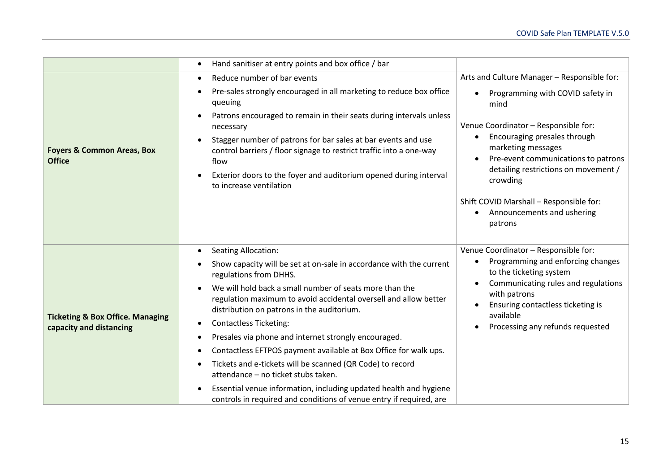|                                                                        | Hand sanitiser at entry points and box office / bar                                                                                                                                                                                          |                                                                                                                                               |
|------------------------------------------------------------------------|----------------------------------------------------------------------------------------------------------------------------------------------------------------------------------------------------------------------------------------------|-----------------------------------------------------------------------------------------------------------------------------------------------|
|                                                                        | Reduce number of bar events<br>$\bullet$                                                                                                                                                                                                     | Arts and Culture Manager - Responsible for:                                                                                                   |
| <b>Foyers &amp; Common Areas, Box</b><br><b>Office</b>                 | Pre-sales strongly encouraged in all marketing to reduce box office<br>queuing                                                                                                                                                               | Programming with COVID safety in<br>mind                                                                                                      |
|                                                                        | Patrons encouraged to remain in their seats during intervals unless<br>$\bullet$<br>necessary                                                                                                                                                | Venue Coordinator - Responsible for:                                                                                                          |
|                                                                        | Stagger number of patrons for bar sales at bar events and use<br>control barriers / floor signage to restrict traffic into a one-way<br>flow<br>Exterior doors to the foyer and auditorium opened during interval<br>to increase ventilation | Encouraging presales through<br>marketing messages<br>Pre-event communications to patrons<br>detailing restrictions on movement /<br>crowding |
|                                                                        |                                                                                                                                                                                                                                              | Shift COVID Marshall - Responsible for:<br>Announcements and ushering<br>patrons                                                              |
|                                                                        | <b>Seating Allocation:</b><br>$\bullet$                                                                                                                                                                                                      | Venue Coordinator - Responsible for:                                                                                                          |
|                                                                        | Show capacity will be set at on-sale in accordance with the current<br>regulations from DHHS.                                                                                                                                                | Programming and enforcing changes<br>to the ticketing system                                                                                  |
|                                                                        | We will hold back a small number of seats more than the<br>regulation maximum to avoid accidental oversell and allow better<br>distribution on patrons in the auditorium.                                                                    | Communicating rules and regulations<br>$\bullet$<br>with patrons<br>Ensuring contactless ticketing is<br>available                            |
| <b>Ticketing &amp; Box Office. Managing</b><br>capacity and distancing | <b>Contactless Ticketing:</b>                                                                                                                                                                                                                | Processing any refunds requested                                                                                                              |
|                                                                        | Presales via phone and internet strongly encouraged.                                                                                                                                                                                         |                                                                                                                                               |
|                                                                        | Contactless EFTPOS payment available at Box Office for walk ups.                                                                                                                                                                             |                                                                                                                                               |
|                                                                        | Tickets and e-tickets will be scanned (QR Code) to record<br>attendance - no ticket stubs taken.                                                                                                                                             |                                                                                                                                               |
|                                                                        | Essential venue information, including updated health and hygiene<br>controls in required and conditions of venue entry if required, are                                                                                                     |                                                                                                                                               |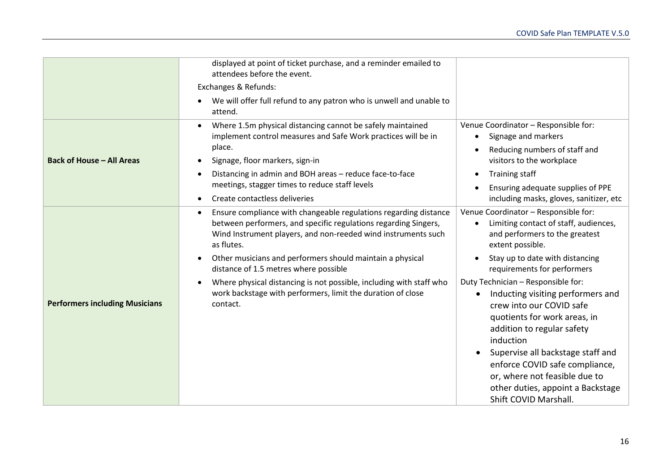|                                       | displayed at point of ticket purchase, and a reminder emailed to<br>attendees before the event.                                                                                                                                                                                       |                                                                                                                                                                                                                                                                                                                                                                   |
|---------------------------------------|---------------------------------------------------------------------------------------------------------------------------------------------------------------------------------------------------------------------------------------------------------------------------------------|-------------------------------------------------------------------------------------------------------------------------------------------------------------------------------------------------------------------------------------------------------------------------------------------------------------------------------------------------------------------|
|                                       | Exchanges & Refunds:                                                                                                                                                                                                                                                                  |                                                                                                                                                                                                                                                                                                                                                                   |
|                                       | We will offer full refund to any patron who is unwell and unable to<br>attend.                                                                                                                                                                                                        |                                                                                                                                                                                                                                                                                                                                                                   |
| <b>Back of House - All Areas</b>      | Where 1.5m physical distancing cannot be safely maintained<br>implement control measures and Safe Work practices will be in<br>place.<br>Signage, floor markers, sign-in<br>Distancing in admin and BOH areas - reduce face-to-face<br>meetings, stagger times to reduce staff levels | Venue Coordinator - Responsible for:<br>Signage and markers<br>$\bullet$<br>Reducing numbers of staff and<br>visitors to the workplace<br>Training staff<br>Ensuring adequate supplies of PPE                                                                                                                                                                     |
|                                       | Create contactless deliveries                                                                                                                                                                                                                                                         | including masks, gloves, sanitizer, etc                                                                                                                                                                                                                                                                                                                           |
|                                       | Ensure compliance with changeable regulations regarding distance<br>between performers, and specific regulations regarding Singers,<br>Wind Instrument players, and non-reeded wind instruments such<br>as flutes.                                                                    | Venue Coordinator - Responsible for:<br>Limiting contact of staff, audiences,<br>and performers to the greatest<br>extent possible.                                                                                                                                                                                                                               |
|                                       | Other musicians and performers should maintain a physical<br>distance of 1.5 metres where possible                                                                                                                                                                                    | Stay up to date with distancing<br>requirements for performers                                                                                                                                                                                                                                                                                                    |
| <b>Performers including Musicians</b> | Where physical distancing is not possible, including with staff who<br>work backstage with performers, limit the duration of close<br>contact.                                                                                                                                        | Duty Technician - Responsible for:<br>Inducting visiting performers and<br>crew into our COVID safe<br>quotients for work areas, in<br>addition to regular safety<br>induction<br>Supervise all backstage staff and<br>$\bullet$<br>enforce COVID safe compliance,<br>or, where not feasible due to<br>other duties, appoint a Backstage<br>Shift COVID Marshall. |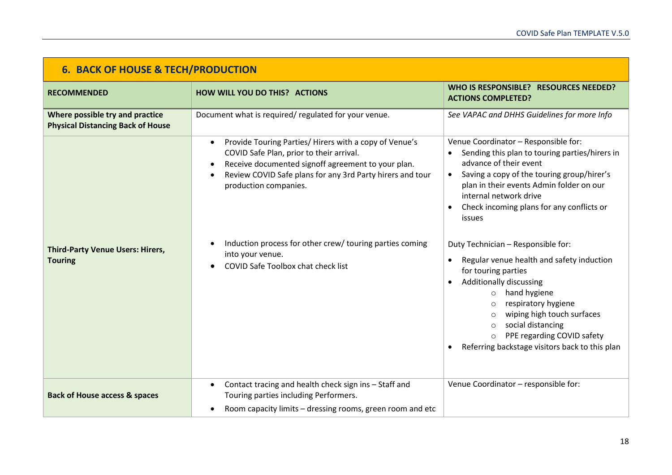| <b>6. BACK OF HOUSE &amp; TECH/PRODUCTION</b>                               |                                                                                                                                                                                                                                                                                                                                                                                                                    |                                                                                                                                                                                                                                                                                                                                                                                                                                                                                                                                                                                                                                                                                                        |
|-----------------------------------------------------------------------------|--------------------------------------------------------------------------------------------------------------------------------------------------------------------------------------------------------------------------------------------------------------------------------------------------------------------------------------------------------------------------------------------------------------------|--------------------------------------------------------------------------------------------------------------------------------------------------------------------------------------------------------------------------------------------------------------------------------------------------------------------------------------------------------------------------------------------------------------------------------------------------------------------------------------------------------------------------------------------------------------------------------------------------------------------------------------------------------------------------------------------------------|
| <b>RECOMMENDED</b>                                                          | <b>HOW WILL YOU DO THIS? ACTIONS</b>                                                                                                                                                                                                                                                                                                                                                                               | WHO IS RESPONSIBLE? RESOURCES NEEDED?<br><b>ACTIONS COMPLETED?</b>                                                                                                                                                                                                                                                                                                                                                                                                                                                                                                                                                                                                                                     |
| Where possible try and practice<br><b>Physical Distancing Back of House</b> | Document what is required/regulated for your venue.                                                                                                                                                                                                                                                                                                                                                                | See VAPAC and DHHS Guidelines for more Info                                                                                                                                                                                                                                                                                                                                                                                                                                                                                                                                                                                                                                                            |
| <b>Third-Party Venue Users: Hirers,</b><br><b>Touring</b>                   | Provide Touring Parties/ Hirers with a copy of Venue's<br>$\bullet$<br>COVID Safe Plan, prior to their arrival.<br>Receive documented signoff agreement to your plan.<br>$\bullet$<br>Review COVID Safe plans for any 3rd Party hirers and tour<br>$\bullet$<br>production companies.<br>Induction process for other crew/ touring parties coming<br>into your venue.<br><b>COVID Safe Toolbox chat check list</b> | Venue Coordinator - Responsible for:<br>Sending this plan to touring parties/hirers in<br>advance of their event<br>Saving a copy of the touring group/hirer's<br>$\bullet$<br>plan in their events Admin folder on our<br>internal network drive<br>Check incoming plans for any conflicts or<br>issues<br>Duty Technician - Responsible for:<br>Regular venue health and safety induction<br>$\bullet$<br>for touring parties<br><b>Additionally discussing</b><br>$\bullet$<br>hand hygiene<br>$\circ$<br>respiratory hygiene<br>wiping high touch surfaces<br>social distancing<br>$\circ$<br>PPE regarding COVID safety<br>$\circ$<br>Referring backstage visitors back to this plan<br>$\bullet$ |
| <b>Back of House access &amp; spaces</b>                                    | Contact tracing and health check sign ins - Staff and<br>$\bullet$<br>Touring parties including Performers.<br>Room capacity limits - dressing rooms, green room and etc<br>٠                                                                                                                                                                                                                                      | Venue Coordinator - responsible for:                                                                                                                                                                                                                                                                                                                                                                                                                                                                                                                                                                                                                                                                   |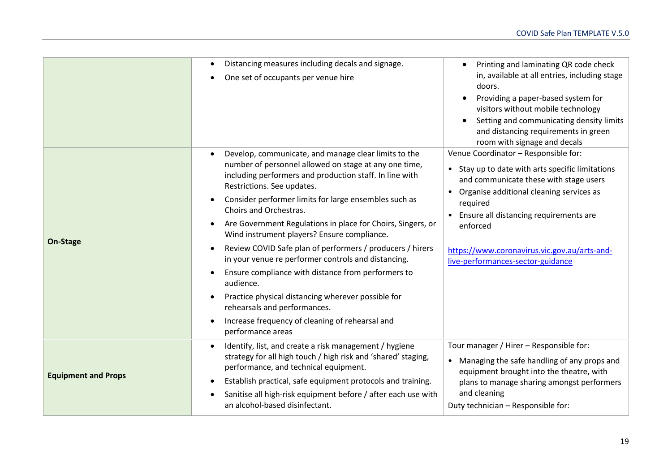|                            | Distancing measures including decals and signage.<br>$\bullet$<br>One set of occupants per venue hire<br>$\bullet$                                                                                                                                                                                                                                                                                                                                                                                                                                                                                                                                                                                                                                                                                                                 | Printing and laminating QR code check<br>in, available at all entries, including stage<br>doors.<br>Providing a paper-based system for<br>٠<br>visitors without mobile technology<br>Setting and communicating density limits<br>and distancing requirements in green<br>room with signage and decals                                   |
|----------------------------|------------------------------------------------------------------------------------------------------------------------------------------------------------------------------------------------------------------------------------------------------------------------------------------------------------------------------------------------------------------------------------------------------------------------------------------------------------------------------------------------------------------------------------------------------------------------------------------------------------------------------------------------------------------------------------------------------------------------------------------------------------------------------------------------------------------------------------|-----------------------------------------------------------------------------------------------------------------------------------------------------------------------------------------------------------------------------------------------------------------------------------------------------------------------------------------|
| On-Stage                   | Develop, communicate, and manage clear limits to the<br>$\bullet$<br>number of personnel allowed on stage at any one time,<br>including performers and production staff. In line with<br>Restrictions. See updates.<br>Consider performer limits for large ensembles such as<br>$\bullet$<br>Choirs and Orchestras.<br>Are Government Regulations in place for Choirs, Singers, or<br>$\bullet$<br>Wind instrument players? Ensure compliance.<br>Review COVID Safe plan of performers / producers / hirers<br>$\bullet$<br>in your venue re performer controls and distancing.<br>Ensure compliance with distance from performers to<br>audience.<br>Practice physical distancing wherever possible for<br>$\bullet$<br>rehearsals and performances.<br>Increase frequency of cleaning of rehearsal and<br>٠<br>performance areas | Venue Coordinator - Responsible for:<br>• Stay up to date with arts specific limitations<br>and communicate these with stage users<br>• Organise additional cleaning services as<br>required<br>Ensure all distancing requirements are<br>enforced<br>https://www.coronavirus.vic.gov.au/arts-and-<br>live-performances-sector-guidance |
| <b>Equipment and Props</b> | Identify, list, and create a risk management / hygiene<br>$\bullet$<br>strategy for all high touch / high risk and 'shared' staging,<br>performance, and technical equipment.<br>Establish practical, safe equipment protocols and training.<br>٠<br>Sanitise all high-risk equipment before / after each use with<br>٠<br>an alcohol-based disinfectant.                                                                                                                                                                                                                                                                                                                                                                                                                                                                          | Tour manager / Hirer - Responsible for:<br>• Managing the safe handling of any props and<br>equipment brought into the theatre, with<br>plans to manage sharing amongst performers<br>and cleaning<br>Duty technician - Responsible for:                                                                                                |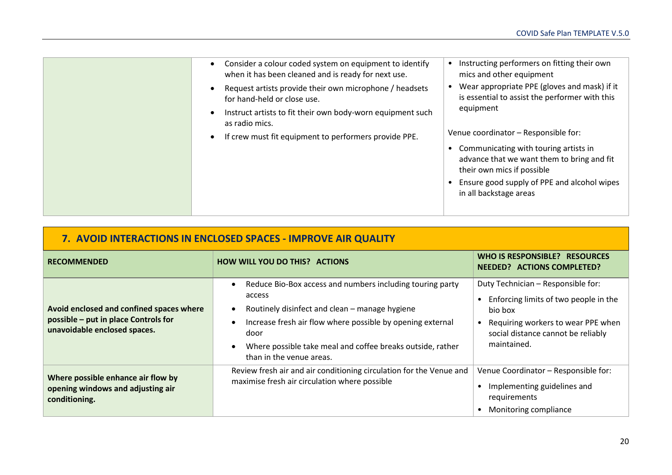| Consider a colour coded system on equipment to identify<br>$\bullet$<br>when it has been cleaned and is ready for next use. | Instructing performers on fitting their own<br>mics and other equipment                                                                                                                    |
|-----------------------------------------------------------------------------------------------------------------------------|--------------------------------------------------------------------------------------------------------------------------------------------------------------------------------------------|
| Request artists provide their own microphone / headsets<br>$\bullet$<br>for hand-held or close use.                         | Wear appropriate PPE (gloves and mask) if it<br>is essential to assist the performer with this                                                                                             |
| Instruct artists to fit their own body-worn equipment such<br>$\bullet$<br>as radio mics.                                   | equipment                                                                                                                                                                                  |
| If crew must fit equipment to performers provide PPE.<br>$\bullet$                                                          | Venue coordinator - Responsible for:                                                                                                                                                       |
|                                                                                                                             | Communicating with touring artists in<br>advance that we want them to bring and fit<br>their own mics if possible<br>Ensure good supply of PPE and alcohol wipes<br>in all backstage areas |
|                                                                                                                             |                                                                                                                                                                                            |

| 7. AVOID INTERACTIONS IN ENCLOSED SPACES - IMPROVE AIR QUALITY                                                   |                                                                                                                                                                                                                                                                                       |                                                                                                                                                                                   |
|------------------------------------------------------------------------------------------------------------------|---------------------------------------------------------------------------------------------------------------------------------------------------------------------------------------------------------------------------------------------------------------------------------------|-----------------------------------------------------------------------------------------------------------------------------------------------------------------------------------|
| <b>RECOMMENDED</b>                                                                                               | <b>HOW WILL YOU DO THIS? ACTIONS</b>                                                                                                                                                                                                                                                  | WHO IS RESPONSIBLE? RESOURCES<br><b>NEEDED? ACTIONS COMPLETED?</b>                                                                                                                |
| Avoid enclosed and confined spaces where<br>possible - put in place Controls for<br>unavoidable enclosed spaces. | Reduce Bio-Box access and numbers including touring party<br>access<br>Routinely disinfect and clean – manage hygiene<br>Increase fresh air flow where possible by opening external<br>door<br>Where possible take meal and coffee breaks outside, rather<br>than in the venue areas. | Duty Technician - Responsible for:<br>Enforcing limits of two people in the<br>bio box<br>Requiring workers to wear PPE when<br>social distance cannot be reliably<br>maintained. |
| Where possible enhance air flow by<br>opening windows and adjusting air<br>conditioning.                         | Review fresh air and air conditioning circulation for the Venue and<br>maximise fresh air circulation where possible                                                                                                                                                                  | Venue Coordinator - Responsible for:<br>Implementing guidelines and<br>requirements<br>Monitoring compliance                                                                      |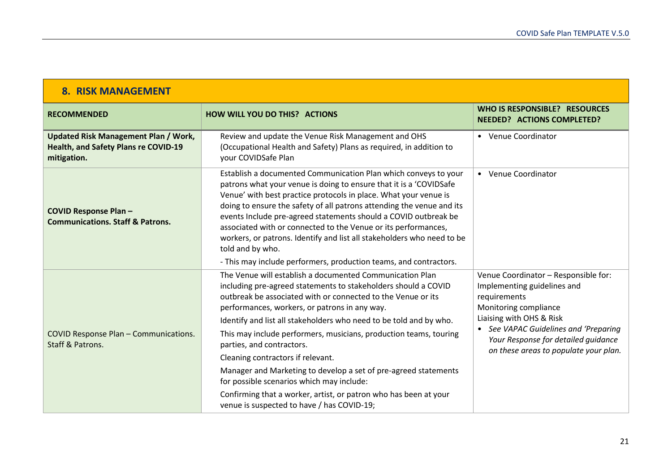| <b>8. RISK MANAGEMENT</b>                                                                          |                                                                                                                                                                                                                                                                                                                                                                                                                                                                                                                                                                                                                                                                                            |                                                                                                                                                                                                                                                                   |
|----------------------------------------------------------------------------------------------------|--------------------------------------------------------------------------------------------------------------------------------------------------------------------------------------------------------------------------------------------------------------------------------------------------------------------------------------------------------------------------------------------------------------------------------------------------------------------------------------------------------------------------------------------------------------------------------------------------------------------------------------------------------------------------------------------|-------------------------------------------------------------------------------------------------------------------------------------------------------------------------------------------------------------------------------------------------------------------|
| <b>RECOMMENDED</b>                                                                                 | <b>HOW WILL YOU DO THIS? ACTIONS</b>                                                                                                                                                                                                                                                                                                                                                                                                                                                                                                                                                                                                                                                       | <b>WHO IS RESPONSIBLE? RESOURCES</b><br><b>NEEDED? ACTIONS COMPLETED?</b>                                                                                                                                                                                         |
| <b>Updated Risk Management Plan / Work,</b><br>Health, and Safety Plans re COVID-19<br>mitigation. | Review and update the Venue Risk Management and OHS<br>(Occupational Health and Safety) Plans as required, in addition to<br>your COVIDSafe Plan                                                                                                                                                                                                                                                                                                                                                                                                                                                                                                                                           | • Venue Coordinator                                                                                                                                                                                                                                               |
| <b>COVID Response Plan-</b><br><b>Communications. Staff &amp; Patrons.</b>                         | Establish a documented Communication Plan which conveys to your<br>patrons what your venue is doing to ensure that it is a 'COVIDSafe<br>Venue' with best practice protocols in place. What your venue is<br>doing to ensure the safety of all patrons attending the venue and its<br>events Include pre-agreed statements should a COVID outbreak be<br>associated with or connected to the Venue or its performances,<br>workers, or patrons. Identify and list all stakeholders who need to be<br>told and by who.<br>- This may include performers, production teams, and contractors.                                                                                                 | • Venue Coordinator                                                                                                                                                                                                                                               |
| <b>COVID Response Plan - Communications.</b><br>Staff & Patrons.                                   | The Venue will establish a documented Communication Plan<br>including pre-agreed statements to stakeholders should a COVID<br>outbreak be associated with or connected to the Venue or its<br>performances, workers, or patrons in any way.<br>Identify and list all stakeholders who need to be told and by who.<br>This may include performers, musicians, production teams, touring<br>parties, and contractors.<br>Cleaning contractors if relevant.<br>Manager and Marketing to develop a set of pre-agreed statements<br>for possible scenarios which may include:<br>Confirming that a worker, artist, or patron who has been at your<br>venue is suspected to have / has COVID-19; | Venue Coordinator - Responsible for:<br>Implementing guidelines and<br>requirements<br>Monitoring compliance<br>Liaising with OHS & Risk<br>• See VAPAC Guidelines and 'Preparing<br>Your Response for detailed quidance<br>on these areas to populate your plan. |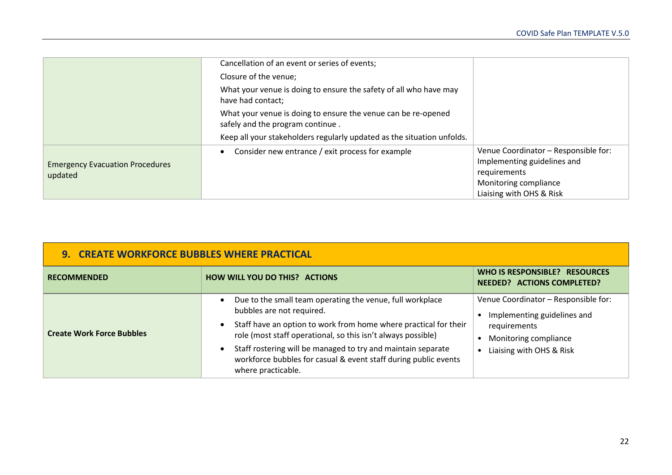|                                                   | Cancellation of an event or series of events;                                                     |                                                                                                                                          |
|---------------------------------------------------|---------------------------------------------------------------------------------------------------|------------------------------------------------------------------------------------------------------------------------------------------|
|                                                   | Closure of the venue;                                                                             |                                                                                                                                          |
|                                                   | What your venue is doing to ensure the safety of all who have may<br>have had contact;            |                                                                                                                                          |
|                                                   | What your venue is doing to ensure the venue can be re-opened<br>safely and the program continue. |                                                                                                                                          |
|                                                   | Keep all your stakeholders regularly updated as the situation unfolds.                            |                                                                                                                                          |
| <b>Emergency Evacuation Procedures</b><br>updated | Consider new entrance / exit process for example                                                  | Venue Coordinator - Responsible for:<br>Implementing guidelines and<br>requirements<br>Monitoring compliance<br>Liaising with OHS & Risk |

| <b>9. CREATE WORKFORCE BUBBLES WHERE PRACTICAL</b> |                                                                                                                                                                                                                                                                                                                                                                                     |                                                                                                                                          |
|----------------------------------------------------|-------------------------------------------------------------------------------------------------------------------------------------------------------------------------------------------------------------------------------------------------------------------------------------------------------------------------------------------------------------------------------------|------------------------------------------------------------------------------------------------------------------------------------------|
| <b>RECOMMENDED</b>                                 | <b>HOW WILL YOU DO THIS? ACTIONS</b>                                                                                                                                                                                                                                                                                                                                                | WHO IS RESPONSIBLE? RESOURCES<br><b>NEEDED? ACTIONS COMPLETED?</b>                                                                       |
| <b>Create Work Force Bubbles</b>                   | Due to the small team operating the venue, full workplace<br>bubbles are not required.<br>Staff have an option to work from home where practical for their<br>role (most staff operational, so this isn't always possible)<br>Staff rostering will be managed to try and maintain separate<br>workforce bubbles for casual & event staff during public events<br>where practicable. | Venue Coordinator - Responsible for:<br>Implementing guidelines and<br>requirements<br>Monitoring compliance<br>Liaising with OHS & Risk |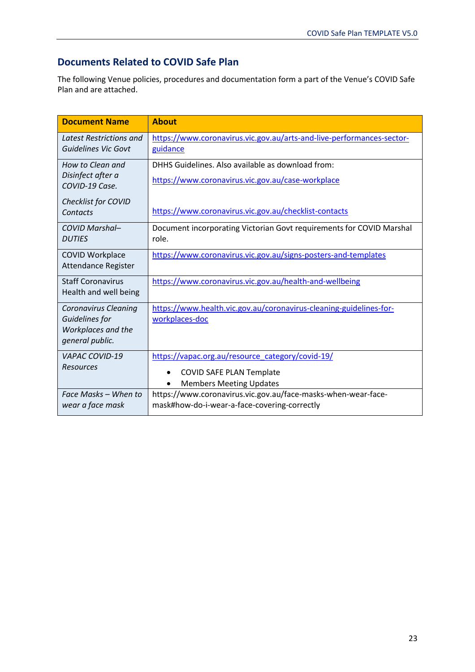# **Documents Related to COVID Safe Plan**

The following Venue policies, procedures and documentation form a part of the Venue's COVID Safe Plan and are attached.

| <b>Document Name</b>                          | <b>About</b>                                                                  |
|-----------------------------------------------|-------------------------------------------------------------------------------|
| Latest Restrictions and                       | https://www.coronavirus.vic.gov.au/arts-and-live-performances-sector-         |
| Guidelines Vic Govt                           | guidance                                                                      |
| How to Clean and                              | DHHS Guidelines. Also available as download from:                             |
| Disinfect after a<br>COVID-19 Case.           | https://www.coronavirus.vic.gov.au/case-workplace                             |
| Checklist for COVID                           |                                                                               |
| Contacts                                      | https://www.coronavirus.vic.gov.au/checklist-contacts                         |
| <b>COVID Marshal-</b><br><b>DUTIES</b>        | Document incorporating Victorian Govt requirements for COVID Marshal<br>role. |
|                                               |                                                                               |
| <b>COVID Workplace</b><br>Attendance Register | https://www.coronavirus.vic.gov.au/signs-posters-and-templates                |
| <b>Staff Coronavirus</b>                      | https://www.coronavirus.vic.gov.au/health-and-wellbeing                       |
| Health and well being                         |                                                                               |
| <b>Coronavirus Cleaning</b>                   | https://www.health.vic.gov.au/coronavirus-cleaning-guidelines-for-            |
| Guidelines for<br>Workplaces and the          | workplaces-doc                                                                |
| general public.                               |                                                                               |
| <b>VAPAC COVID-19</b>                         | https://vapac.org.au/resource_category/covid-19/                              |
| <b>Resources</b>                              | <b>COVID SAFE PLAN Template</b>                                               |
|                                               | <b>Members Meeting Updates</b>                                                |
| Face Masks - When to                          | https://www.coronavirus.vic.gov.au/face-masks-when-wear-face-                 |
| wear a face mask                              | mask#how-do-i-wear-a-face-covering-correctly                                  |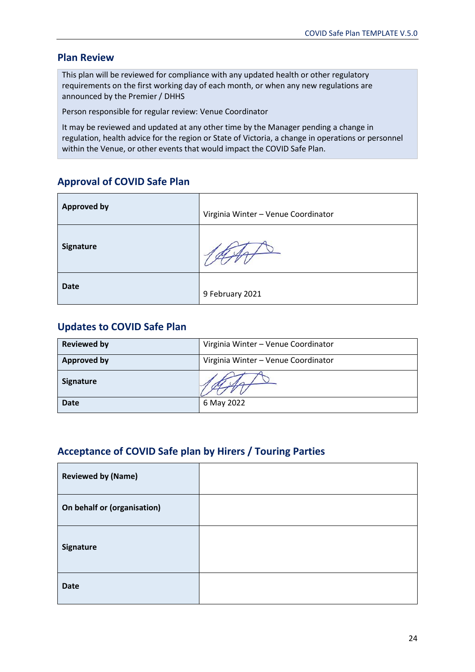## **Plan Review**

This plan will be reviewed for compliance with any updated health or other regulatory requirements on the first working day of each month, or when any new regulations are announced by the Premier / DHHS

Person responsible for regular review: Venue Coordinator

It may be reviewed and updated at any other time by the Manager pending a change in regulation, health advice for the region or State of Victoria, a change in operations or personnel within the Venue, or other events that would impact the COVID Safe Plan.

# **Approval of COVID Safe Plan**

| <b>Approved by</b> | Virginia Winter - Venue Coordinator |
|--------------------|-------------------------------------|
| <b>Signature</b>   |                                     |
| <b>Date</b>        | 9 February 2021                     |

## **Updates to COVID Safe Plan**

| <b>Reviewed by</b> | Virginia Winter - Venue Coordinator |
|--------------------|-------------------------------------|
| <b>Approved by</b> | Virginia Winter - Venue Coordinator |
| <b>Signature</b>   |                                     |
| <b>Date</b>        | 6 May 2022                          |

# **Acceptance of COVID Safe plan by Hirers / Touring Parties**

| <b>Reviewed by (Name)</b>   |  |
|-----------------------------|--|
| On behalf or (organisation) |  |
| Signature                   |  |
| <b>Date</b>                 |  |